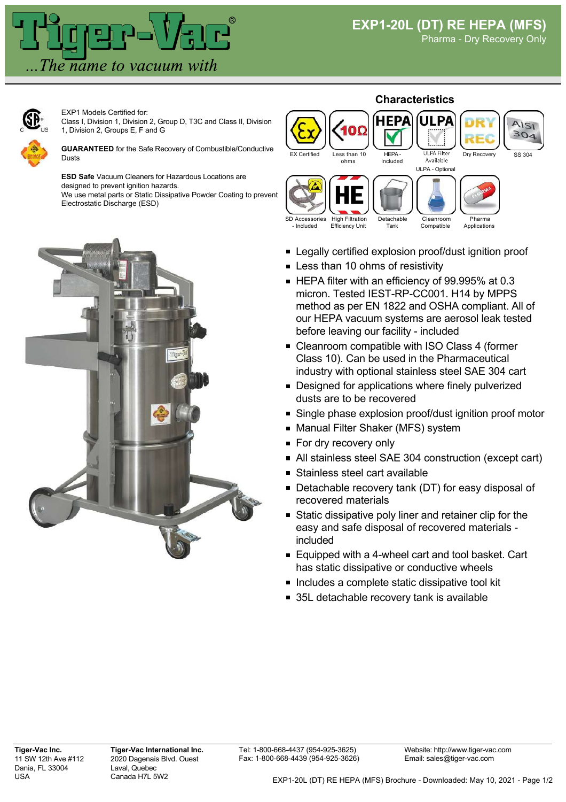



EXP1 Models Certified for: Class I, Division 1, Division 2, Group D, T3C and Class II, Division 1, Division 2, Groups E, F and G

**GUARANTEED** for the Safe Recovery of Combustible/Conductive Dusts

**ESD Safe** Vacuum Cleaners for Hazardous Locations are designed to prevent ignition hazards. We use metal parts or Static Dissipative Powder Coating to prevent

Electrostatic Discharge (ESD)





- **Legally certified explosion proof/dust ignition proof**
- **Less than 10 ohms of resistivity**
- HEPA filter with an efficiency of 99.995% at 0.3 micron. Tested IEST-RP-CC001. H14 by MPPS method as per EN 1822 and OSHA compliant. All of our HEPA vacuum systems are aerosol leak tested before leaving our facility - included
- Cleanroom compatible with ISO Class 4 (former Class 10). Can be used in the Pharmaceutical industry with optional stainless steel SAE 304 cart
- **Designed for applications where finely pulverized** dusts are to be recovered
- Single phase explosion proof/dust ignition proof motor
- Manual Filter Shaker (MFS) system
- **For dry recovery only**
- All stainless steel SAE 304 construction (except cart)
- **Stainless steel cart available**
- **Detachable recovery tank (DT) for easy disposal of** recovered materials
- **Static dissipative poly liner and retainer clip for the** easy and safe disposal of recovered materials included
- Equipped with a 4-wheel cart and tool basket. Cart has static dissipative or conductive wheels
- Includes a complete static dissipative tool kit
- 35L detachable recovery tank is available